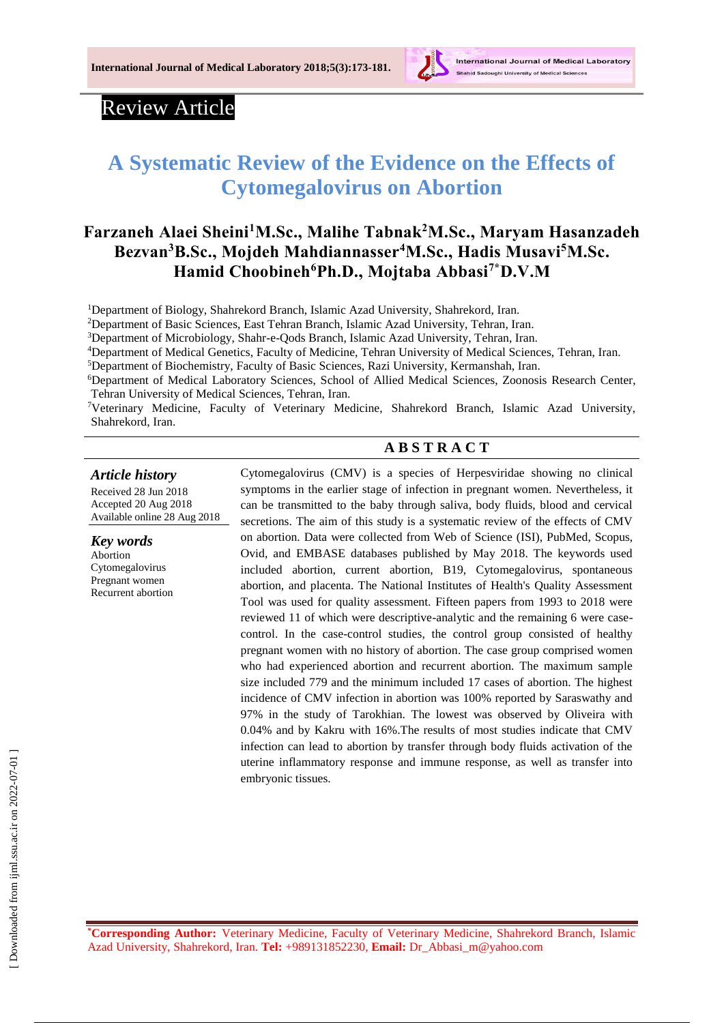

# Review Article

# **A Systematic Review of the Evidence on the Effects of Cytomegalovirus on Abortion**

# **Farzaneh Alaei Sheini<sup>1</sup>M.Sc., Malihe Tabnak<sup>2</sup>M.Sc., Maryam Hasanzadeh Bezvan<sup>3</sup>B.Sc., Mojdeh Mahdiannasser<sup>4</sup>M.Sc., Hadis Musavi<sup>5</sup>M.Sc. Hamid Choobineh<sup>6</sup>Ph.D., Mojtaba Abbasi7\*D.V.M**

<sup>1</sup>Department of Biology, Shahrekord Branch, Islamic Azad University, Shahrekord, Iran.

<sup>2</sup>Department of Basic Sciences, East Tehran Branch, Islamic Azad University, Tehran, Iran.

<sup>3</sup>Department of Microbiology, Shahr-e-Qods Branch, Islamic Azad University, Tehran, Iran.

<sup>4</sup>Department of Medical Genetics, Faculty of Medicine, Tehran University of Medical Sciences, Tehran, Iran.

<sup>5</sup>Department of Biochemistry, Faculty of Basic Sciences, Razi University, Kermanshah, Iran.

<sup>6</sup>Department of Medical Laboratory Sciences, School of Allied Medical Sciences, Zoonosis Research Center, Tehran University of Medical Sciences, Tehran, Iran.

<sup>7</sup>Veterinary Medicine, Faculty of Veterinary Medicine, Shahrekord Branch, Islamic Azad University, Shahrekord, Iran.

# **A B S T R A C T**

#### *Article history*

Received 28 Jun 2018 Accepted 20 Aug 2018 Available online 28 Aug 2018

*Key words* Abortion Cytomegalovirus Pregnant women Recurrent abortion Cytomegalovirus (CMV) is a species of Herpesviridae showing no clinical symptoms in the earlier stage of infection in pregnant women. Nevertheless, it can be transmitted to the baby through saliva, body fluids, blood and cervical secretions. The aim of this study is a systematic review of the effects of CMV on abortion. Data were collected from Web of Science (ISI), PubMed, Scopus, Ovid, and EMBASE databases published by May 2018. The keywords used included abortion, current abortion, B19, Cytomegalovirus, spontaneous abortion, and placenta. The National Institutes of Health's Quality Assessment Tool was used for quality assessment. Fifteen papers from 1993 to 2018 were reviewed 11 of which were descriptive-analytic and the remaining 6 were casecontrol. In the case-control studies, the control group consisted of healthy pregnant women with no history of abortion. The case group comprised women who had experienced abortion and recurrent abortion. The maximum sample size included 779 and the minimum included 17 cases of abortion. The highest incidence of CMV infection in abortion was 100% reported by Saraswathy and 97% in the study of Tarokhian. The lowest was observed by Oliveira with 0.04% and by Kakru with 16%.The results of most studies indicate that CMV infection can lead to abortion by transfer through body fluids activation of the uterine inflammatory response and immune response, as well as transfer into embryonic tissues.

**\*Corresponding Author:** Veterinary Medicine, Faculty of Veterinary Medicine, Shahrekord Branch, Islamic Azad University, Shahrekord, Iran. **Tel:** +989131852230, **Email:** Dr\_Abbasi\_m@yahoo.com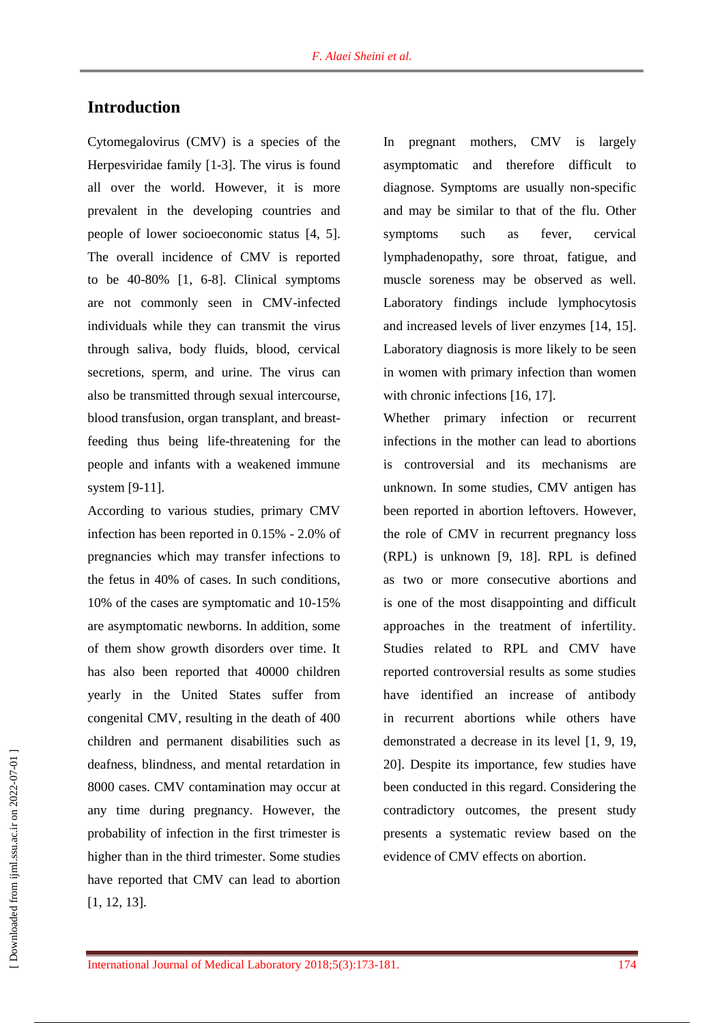# **Introduction**

Cytomegalovirus (CMV) is a species of the Herpesviridae family [1-3]. The virus is found all over the world. However, it is more prevalent in the developing countries and people of lower socioeconomic status [4, 5]. The overall incidence of CMV is reported to be 40-80% [1, 6-8]. Clinical symptoms are not commonly seen in CMV-infected individuals while they can transmit the virus through saliva, body fluids, blood, cervical secretions, sperm, and urine. The virus can also be transmitted through sexual intercourse, blood transfusion, organ transplant, and breastfeeding thus being life-threatening for the people and infants with a weakened immune system [9-11].

According to various studies, primary CMV infection has been reported in 0.15% - 2.0% of pregnancies which may transfer infections to the fetus in 40% of cases. In such conditions, 10% of the cases are symptomatic and 10-15% are asymptomatic newborns. In addition, some of them show growth disorders over time. It has also been reported that 40000 children yearly in the United States suffer from congenital CMV, resulting in the death of 400 children and permanent disabilities such as deafness, blindness, and mental retardation in 8000 cases. CMV contamination may occur at any time during pregnancy. However, the probability of infection in the first trimester is higher than in the third trimester. Some studies have reported that CMV can lead to abortion [1, 12, 13].

In pregnant mothers, CMV is largely asymptomatic and therefore difficult to diagnose. Symptoms are usually non-specific and may be similar to that of the flu. Other symptoms such as fever, cervical lymphadenopathy, sore throat, fatigue, and muscle soreness may be observed as well. Laboratory findings include lymphocytosis and increased levels of liver enzymes [14, 15]. Laboratory diagnosis is more likely to be seen in women with primary infection than women with chronic infections [16, 17].

Whether primary infection or recurrent infections in the mother can lead to abortions is controversial and its mechanisms are unknown. In some studies, CMV antigen has been reported in abortion leftovers. However, the role of CMV in recurrent pregnancy loss (RPL) is unknown [9, 18]. RPL is defined as two or more consecutive abortions and is one of the most disappointing and difficult approaches in the treatment of infertility. Studies related to RPL and CMV have reported controversial results as some studies have identified an increase of antibody in recurrent abortions while others have demonstrated a decrease in its level [1, 9, 19, 20]. Despite its importance, few studies have been conducted in this regard. Considering the contradictory outcomes, the present study presents a systematic review based on the evidence of CMV effects on abortion.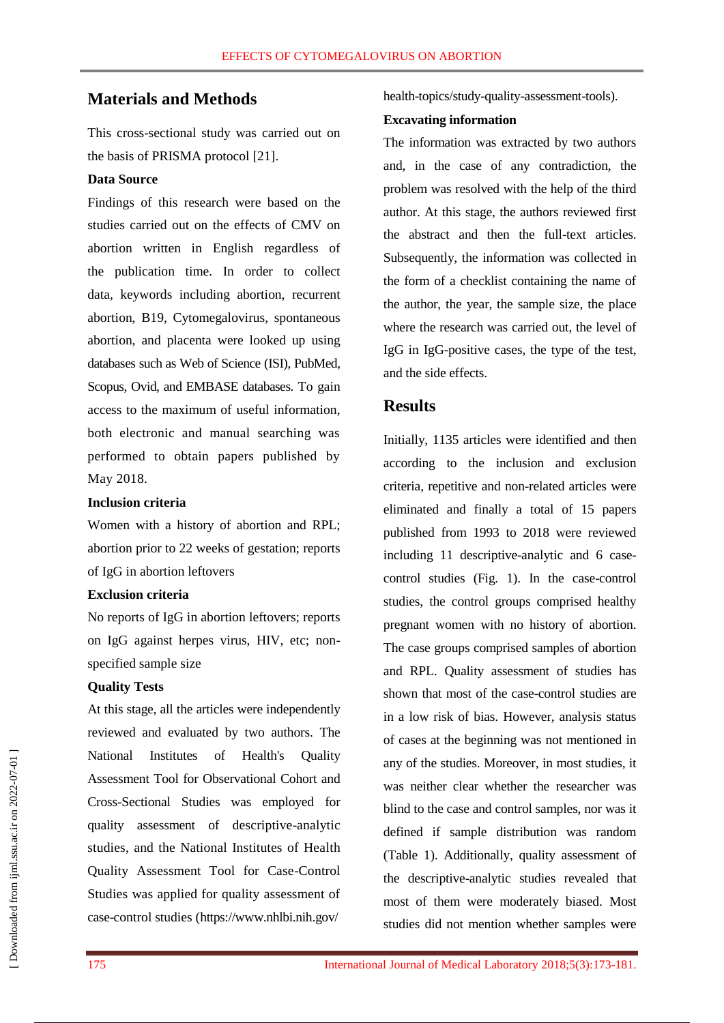# **Materials and Methods**

This cross-sectional study was carried out on the basis of PRISMA protocol [21].

### **Data Source**

Findings of this research were based on the studies carried out on the effects of CMV on abortion written in English regardless of the publication time. In order to collect data, keywords including abortion, recurrent abortion, B19, Cytomegalovirus, spontaneous abortion, and placenta were looked up using databases such as Web of Science (ISI), PubMed, Scopus, Ovid, and EMBASE databases. To gain access to the maximum of useful information, both electronic and manual searching was performed to obtain papers published by May 2018.

### **Inclusion criteria**

Women with a history of abortion and RPL; abortion prior to 22 weeks of gestation; reports of IgG in abortion leftovers

## **Exclusion criteria**

No reports of IgG in abortion leftovers; reports on IgG against herpes virus, HIV, etc; nonspecified sample size

#### **Quality Tests**

At this stage, all the articles were independently reviewed and evaluated by two authors. The National Institutes of Health's Quality Assessment Tool for Observational Cohort and Cross-Sectional Studies was employed for quality assessment of descriptive-analytic studies, and the National Institutes of Health Quality Assessment Tool for Case-Control Studies was applied for quality assessment of case-control studies [\(https://www.nhlbi.nih.gov/](https://www.nhlbi.nih.gov/)

health-topics/study-quality-assessment-tools).

#### **Excavating information**

The information was extracted by two authors and, in the case of any contradiction, the problem was resolved with the help of the third author. At this stage, the authors reviewed first the abstract and then the full-text articles. Subsequently, the information was collected in the form of a checklist containing the name of the author, the year, the sample size, the place where the research was carried out, the level of IgG in IgG-positive cases, the type of the test, and the side effects.

# **Results**

Initially, 1135 articles were identified and then according to the inclusion and exclusion criteria, repetitive and non-related articles were eliminated and finally a total of 15 papers published from 1993 to 2018 were reviewed including 11 descriptive-analytic and 6 casecontrol studies (Fig. 1). In the case-control studies, the control groups comprised healthy pregnant women with no history of abortion. The case groups comprised samples of abortion and RPL. Quality assessment of studies has shown that most of the case-control studies are in a low risk of bias. However, analysis status of cases at the beginning was not mentioned in any of the studies. Moreover, in most studies, it was neither clear whether the researcher was blind to the case and control samples, nor was it defined if sample distribution was random (Table 1). Additionally, quality assessment of the descriptive-analytic studies revealed that most of them were moderately biased. Most studies did not mention whether samples were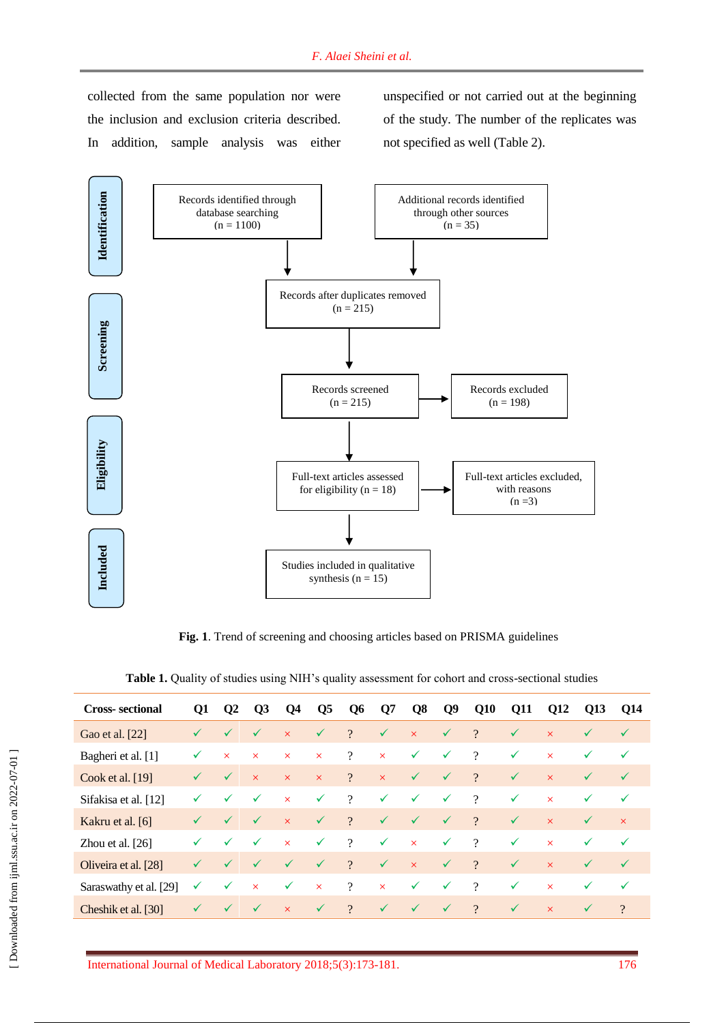collected from the same population nor were the inclusion and exclusion criteria described. In addition, sample analysis was either unspecified or not carried out at the beginning of the study. The number of the replicates was not specified as well (Table 2).



**Fig. 1**. Trend of screening and choosing articles based on PRISMA guidelines

| <b>Cross-sectional</b> | Q1           | $\mathbf{O}2$ | $\overline{\text{O}}$ | Q4                      | <b>O5</b>    | $\bf{O6}$      | Q7                      | Q8           | $\mathbf{Q}$ | Q10      | Q11          | Q12      | Q13          | Q14          |
|------------------------|--------------|---------------|-----------------------|-------------------------|--------------|----------------|-------------------------|--------------|--------------|----------|--------------|----------|--------------|--------------|
| Gao et al. [22]        | $\checkmark$ | $\checkmark$  | $\checkmark$          | $\times$                | ✓            | $\gamma$       | ✓                       | $\times$     | $\checkmark$ | $\gamma$ | $\checkmark$ | $\times$ | $\checkmark$ | $\checkmark$ |
| Bagheri et al. [1]     | ✓            | $\times$      | $\times$              | $\times$                | $\times$     | $\overline{?}$ | $\times$                | ✓            | $\checkmark$ | $\gamma$ | $\checkmark$ | $\times$ | $\checkmark$ | $\checkmark$ |
| Cook et al. $[19]$     | $\checkmark$ | $\checkmark$  | $\times$              | $\times$                | $\times$     | $\overline{?}$ | $\overline{\mathsf{x}}$ | ✓            | $\checkmark$ | $\gamma$ | $\checkmark$ | $\times$ | $\checkmark$ | $\checkmark$ |
| Sifakisa et al. [12]   | ✓            | $\checkmark$  | $\checkmark$          | $\overline{\mathsf{x}}$ | $\checkmark$ | $\gamma$       | $\checkmark$            | $\checkmark$ | $\checkmark$ | $\gamma$ | $\checkmark$ | $\times$ | $\checkmark$ | $\checkmark$ |
| Kakru et al. [6]       | $\checkmark$ | $\checkmark$  | $\checkmark$          | $\times$                | $\checkmark$ | $\gamma$       | ✓                       | $\checkmark$ | $\checkmark$ | $\gamma$ | $\checkmark$ | $\times$ | $\checkmark$ | $\times$     |
| Zhou et al. $[26]$     | ✓            | $\checkmark$  | $\checkmark$          | $\times$                | $\checkmark$ | $\gamma$       | ✓                       | $\times$     | ✓            | $\gamma$ | $\checkmark$ | $\times$ | $\checkmark$ | $\checkmark$ |
| Oliveira et al. [28]   | $\checkmark$ | $\checkmark$  | $\checkmark$          | $\checkmark$            | $\checkmark$ | $\gamma$       | $\checkmark$            | $\times$     | $\checkmark$ | $\gamma$ | $\checkmark$ | $\times$ | $\checkmark$ | $\checkmark$ |
| Saraswathy et al. [29] | ✓            | $\checkmark$  | $\times$              | ✓                       | $\times$     | $\gamma$       | $\times$                | ✓            | $\checkmark$ | $\gamma$ | $\checkmark$ | $\times$ | $\checkmark$ | $\checkmark$ |
| Cheshik et al. [30]    | $\checkmark$ | $\checkmark$  | $\checkmark$          | $\times$                | $\checkmark$ | $\gamma$       | $\checkmark$            | $\checkmark$ | $\checkmark$ | $\gamma$ | $\checkmark$ | $\times$ | $\checkmark$ | $\gamma$     |

**Table 1.** Quality of studies using NIH's quality assessment for cohort and cross-sectional studies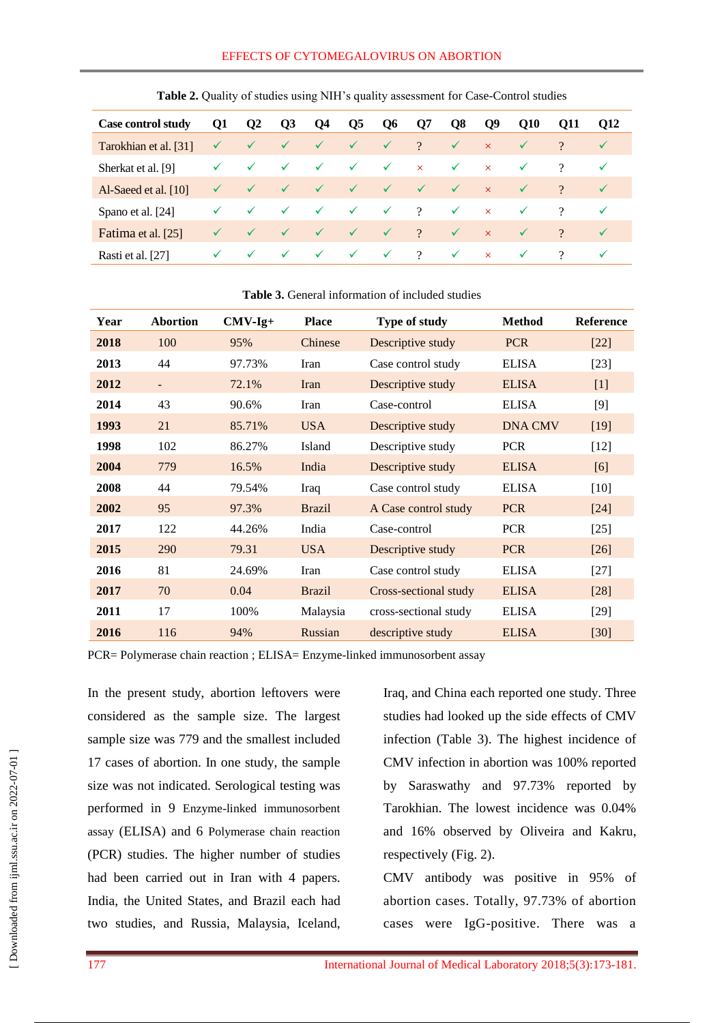| <b>Case control study</b> | Q1           | $\mathbf{Q}$ | Q3           | Q4           | Q5           | Q <sub>6</sub> | Q7       | Q8           | $\mathbf{Q}9$ | <b>O10</b>   | <b>O11</b> | <b>O12</b>   |  |
|---------------------------|--------------|--------------|--------------|--------------|--------------|----------------|----------|--------------|---------------|--------------|------------|--------------|--|
| Tarokhian et al. [31]     | $\checkmark$ | $\checkmark$ | $\checkmark$ | $\checkmark$ | $\checkmark$ | $\checkmark$   | $\gamma$ | $\checkmark$ | $\times$      | $\checkmark$ | $\gamma$   | $\checkmark$ |  |
| Sherkat et al. [9]        |              | $\checkmark$ | $\checkmark$ | $\checkmark$ | $\checkmark$ | $\checkmark$   | $\times$ | $\checkmark$ | $\times$      | $\checkmark$ | $\gamma$   | $\checkmark$ |  |
| Al-Saeed et al. [10]      |              | $\checkmark$ | $\checkmark$ | $\checkmark$ | $\checkmark$ | $\sqrt{}$      |          | $\checkmark$ | $\mathsf{x}$  | $\checkmark$ | $\gamma$   | $\checkmark$ |  |
| Spano et al. [24]         |              | $\checkmark$ | $\checkmark$ | $\checkmark$ | ✓            | $\checkmark$   | $\gamma$ | $\checkmark$ | $\times$      | $\checkmark$ | $\gamma$   | $\checkmark$ |  |
| Fatima et al. [25]        |              | $\checkmark$ | $\checkmark$ | $\checkmark$ | $\checkmark$ | $\checkmark$   | $\gamma$ | $\checkmark$ | $\times$      | $\checkmark$ | $\gamma$   | $\checkmark$ |  |
| Rasti et al. [27]         |              | $\checkmark$ | $\checkmark$ | $\checkmark$ | $\checkmark$ | $\checkmark$   | $\gamma$ | $\checkmark$ | $\times$      | $\checkmark$ | $\gamma$   | $\checkmark$ |  |

**Table 2.** Quality of studies using NIH's quality assessment for Case-Control studies

#### **Table 3.** General information of included studies

| Year | <b>Abortion</b> | $CMV-Ig+$ | <b>Place</b>  | Type of study         | <b>Method</b>  | <b>Reference</b> |
|------|-----------------|-----------|---------------|-----------------------|----------------|------------------|
| 2018 | 100             | 95%       | Chinese       | Descriptive study     | <b>PCR</b>     | $[22]$           |
| 2013 | 44              | 97.73%    | Iran          | Case control study    | <b>ELISA</b>   | $[23]$           |
| 2012 | $\blacksquare$  | 72.1%     | Iran          | Descriptive study     | <b>ELISA</b>   | $[1]$            |
| 2014 | 43              | 90.6%     | Iran          | Case-control          | <b>ELISA</b>   | $[9]$            |
| 1993 | 21              | 85.71%    | <b>USA</b>    | Descriptive study     | <b>DNA CMV</b> | $[19]$           |
| 1998 | 102             | 86.27%    | Island        | Descriptive study     | <b>PCR</b>     | $[12]$           |
| 2004 | 779             | 16.5%     | India         | Descriptive study     | <b>ELISA</b>   | [6]              |
| 2008 | 44              | 79.54%    | Iraq          | Case control study    | <b>ELISA</b>   | $[10]$           |
| 2002 | 95              | 97.3%     | <b>Brazil</b> | A Case control study  | <b>PCR</b>     | $[24]$           |
| 2017 | 122             | 44.26%    | India         | Case-control          | <b>PCR</b>     | $[25]$           |
| 2015 | 290             | 79.31     | <b>USA</b>    | Descriptive study     | <b>PCR</b>     | [26]             |
| 2016 | 81              | 24.69%    | Iran          | Case control study    | <b>ELISA</b>   | $[27]$           |
| 2017 | 70              | 0.04      | <b>Brazil</b> | Cross-sectional study | <b>ELISA</b>   | $[28]$           |
| 2011 | 17              | 100%      | Malaysia      | cross-sectional study | <b>ELISA</b>   | $[29]$           |
| 2016 | 116             | 94%       | Russian       | descriptive study     | <b>ELISA</b>   | [30]             |

PCR= Polymerase chain reaction ; ELISA= Enzyme-linked immunosorbent assay

In the present study, abortion leftovers were considered as the sample size. The largest sample size was 779 and the smallest included 17 cases of abortion. In one study, the sample size was not indicated. Serological testing was performed in 9 Enzyme-linked immunosorbent assay (ELISA) and 6 Polymerase chain reaction (PCR) studies. The higher number of studies had been carried out in Iran with 4 papers. India, the United States, and Brazil each had two studies, and Russia, Malaysia, Iceland, Iraq, and China each reported one study. Three studies had looked up the side effects of CMV infection (Table 3). The highest incidence of CMV infection in abortion was 100% reported by Saraswathy and 97.73% reported by Tarokhian. The lowest incidence was 0.04% and 16% observed by Oliveira and Kakru, respectively (Fig. 2).

CMV antibody was positive in 95% of abortion cases. Totally, 97.73% of abortion cases were IgG-positive. There was a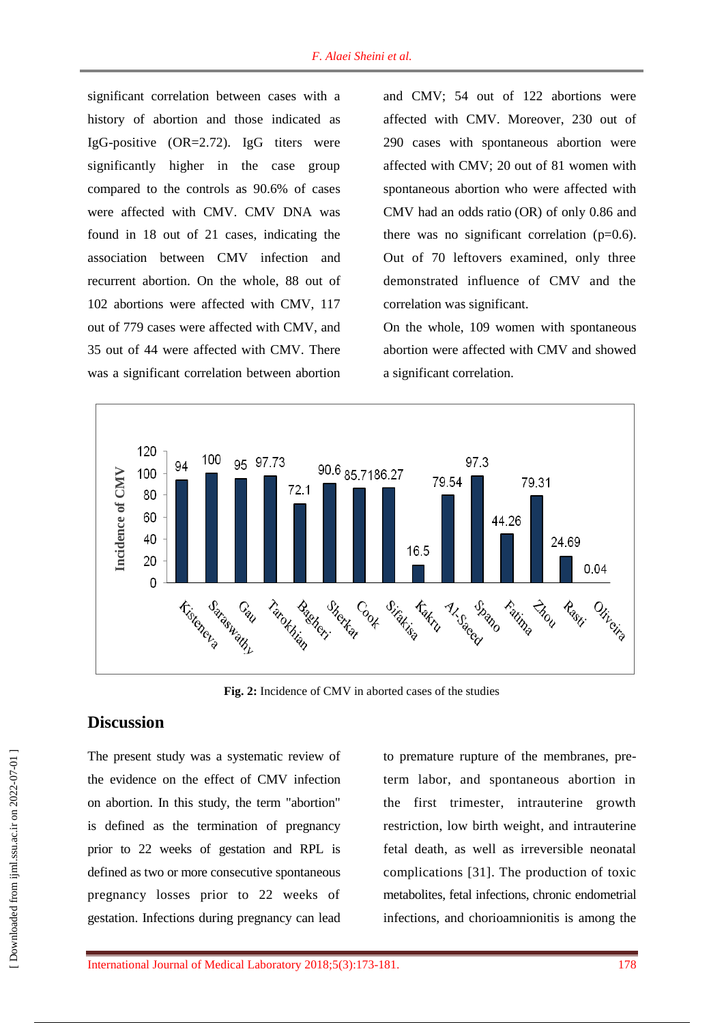significant correlation between cases with a history of abortion and those indicated as IgG-positive (OR=2.72). IgG titers were significantly higher in the case group compared to the controls as 90.6% of cases were affected with CMV. CMV DNA was found in 18 out of 21 cases, indicating the association between CMV infection and recurrent abortion. On the whole, 88 out of 102 abortions were affected with CMV, 117 out of 779 cases were affected with CMV, and 35 out of 44 were affected with CMV. There was a significant correlation between abortion

and CMV; 54 out of 122 abortions were affected with CMV. Moreover, 230 out of 290 cases with spontaneous abortion were affected with CMV; 20 out of 81 women with spontaneous abortion who were affected with CMV had an odds ratio (OR) of only 0.86 and there was no significant correlation  $(p=0.6)$ . Out of 70 leftovers examined, only three demonstrated influence of CMV and the correlation was significant.

On the whole, 109 women with spontaneous abortion were affected with CMV and showed a significant correlation.



**Fig. 2:** Incidence of CMV in aborted cases of the studies

# **Discussion**

The present study was a systematic review of the evidence on the effect of CMV infection on abortion. In this study, the term "abortion" is defined as the termination of pregnancy prior to 22 weeks of gestation and RPL is defined as two or more consecutive spontaneous pregnancy losses prior to 22 weeks of gestation. Infections during pregnancy can lead to premature rupture of the membranes, preterm labor, and spontaneous abortion in the first trimester, intrauterine growth restriction, low birth weight, and intrauterine fetal death, as well as irreversible neonatal complications [31]. The production of toxic metabolites, fetal infections, chronic endometrial infections, and chorioamnionitis is among the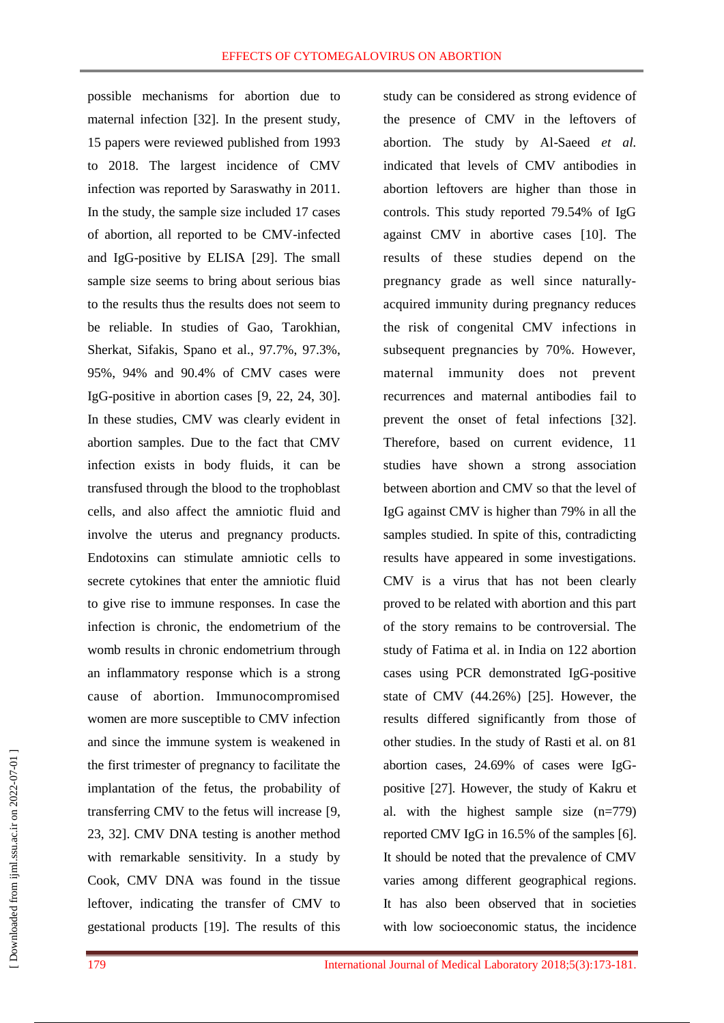possible mechanisms for abortion due to maternal infection [32]. In the present study, 15 papers were reviewed published from 1993 to 2018. The largest incidence of CMV infection was reported by Saraswathy in 2011. In the study, the sample size included 17 cases of abortion, all reported to be CMV-infected and IgG-positive by ELISA [29]. The small sample size seems to bring about serious bias to the results thus the results does not seem to be reliable. In studies of Gao, Tarokhian, Sherkat, Sifakis, Spano et al., 97.7%, 97.3%, 95%, 94% and 90.4% of CMV cases were IgG-positive in abortion cases [9, 22, 24, 30]. In these studies, CMV was clearly evident in abortion samples. Due to the fact that CMV infection exists in body fluids, it can be transfused through the blood to the trophoblast cells, and also affect the amniotic fluid and involve the uterus and pregnancy products. Endotoxins can stimulate amniotic cells to secrete cytokines that enter the amniotic fluid to give rise to immune responses. In case the infection is chronic, the endometrium of the womb results in chronic endometrium through an inflammatory response which is a strong cause of abortion. Immunocompromised women are more susceptible to CMV infection and since the immune system is weakened in the first trimester of pregnancy to facilitate the implantation of the fetus, the probability of transferring CMV to the fetus will increase [9, 23, 32]. CMV DNA testing is another method with remarkable sensitivity. In a study by Cook, CMV DNA was found in the tissue leftover, indicating the transfer of CMV to gestational products [19]. The results of this study can be considered as strong evidence of the presence of CMV in the leftovers of abortion. The study by Al-Saeed *et al.* indicated that levels of CMV antibodies in abortion leftovers are higher than those in controls. This study reported 79.54% of IgG against CMV in abortive cases [10]. The results of these studies depend on the pregnancy grade as well since naturallyacquired immunity during pregnancy reduces the risk of congenital CMV infections in subsequent pregnancies by 70%. However, maternal immunity does not prevent recurrences and maternal antibodies fail to prevent the onset of fetal infections [32]. Therefore, based on current evidence, 11 studies have shown a strong association between abortion and CMV so that the level of IgG against CMV is higher than 79% in all the samples studied. In spite of this, contradicting results have appeared in some investigations. CMV is a virus that has not been clearly proved to be related with abortion and this part of the story remains to be controversial. The study of Fatima et al. in India on 122 abortion cases using PCR demonstrated IgG-positive state of CMV (44.26%) [25]. However, the results differed significantly from those of other studies. In the study of Rasti et al. on 81 abortion cases, 24.69% of cases were IgGpositive [27]. However, the study of Kakru et al. with the highest sample size (n=779) reported CMV IgG in 16.5% of the samples [6]. It should be noted that the prevalence of CMV varies among different geographical regions. It has also been observed that in societies with low socioeconomic status, the incidence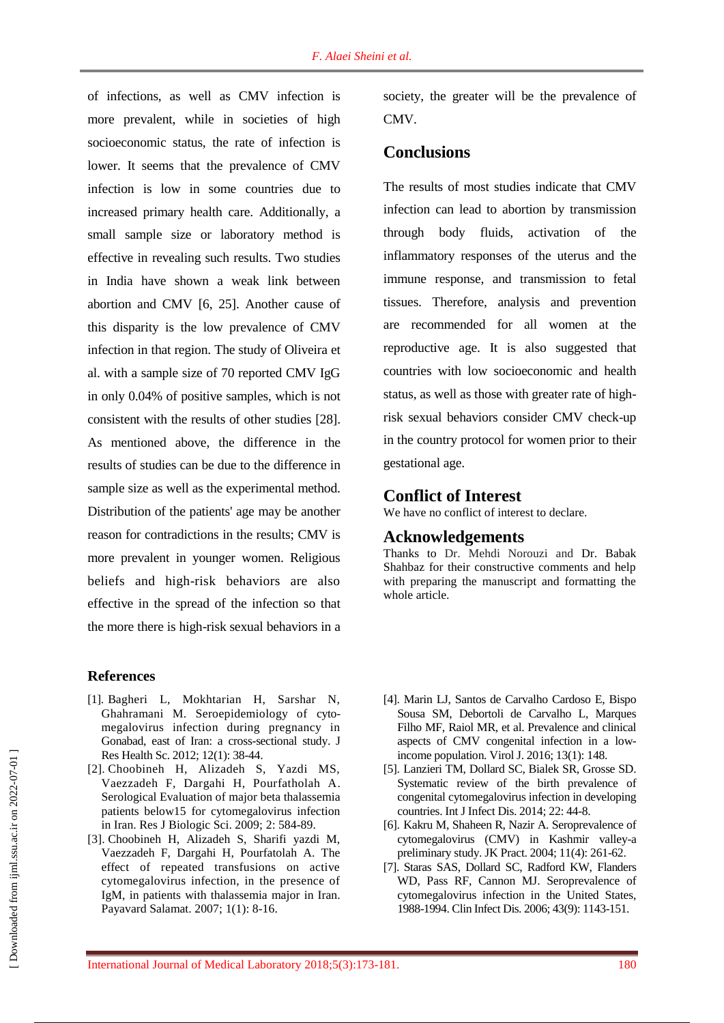of infections, as well as CMV infection is more prevalent, while in societies of high socioeconomic status, the rate of infection is lower. It seems that the prevalence of CMV infection is low in some countries due to increased primary health care. Additionally, a small sample size or laboratory method is effective in revealing such results. Two studies in India have shown a weak link between abortion and CMV [6, 25]. Another cause of this disparity is the low prevalence of CMV infection in that region. The study of Oliveira et al. with a sample size of 70 reported CMV IgG in only 0.04% of positive samples, which is not consistent with the results of other studies [28]. As mentioned above, the difference in the results of studies can be due to the difference in sample size as well as the experimental method. Distribution of the patients' age may be another reason for contradictions in the results; CMV is more prevalent in younger women. Religious beliefs and high-risk behaviors are also effective in the spread of the infection so that the more there is high-risk sexual behaviors in a

#### **References**

- [1]. Bagheri L, Mokhtarian H, Sarshar N, Ghahramani M. Seroepidemiology of cytomegalovirus infection during pregnancy in Gonabad, east of Iran: a cross-sectional study. J Res Health Sc. 2012; 12(1): 38-44.
- [2]. Choobineh H, Alizadeh S, Yazdi MS, Vaezzadeh F, Dargahi H, Pourfatholah A. Serological Evaluation of major beta thalassemia patients below15 for cytomegalovirus infection in Iran. Res J Biologic Sci. 2009; 2: 584-89.
- [3]. Choobineh H, Alizadeh S, Sharifi yazdi M, Vaezzadeh F, Dargahi H, Pourfatolah A. The effect of repeated transfusions on active cytomegalovirus infection, in the presence of IgM, in patients with thalassemia major in Iran. Payavard Salamat. 2007; 1(1): 8-16.

society, the greater will be the prevalence of CMV.

# **Conclusions**

The results of most studies indicate that CMV infection can lead to abortion by transmission through body fluids, activation of the inflammatory responses of the uterus and the immune response, and transmission to fetal tissues. Therefore, analysis and prevention are recommended for all women at the reproductive age. It is also suggested that countries with low socioeconomic and health status, as well as those with greater rate of highrisk sexual behaviors consider CMV check-up in the country protocol for women prior to their gestational age.

#### **Conflict of Interest**

We have no conflict of interest to declare.

## **Acknowledgements**

Thanks to Dr. Mehdi Norouzi and Dr. Babak Shahbaz for their constructive comments and help with preparing the manuscript and formatting the whole article.

- [4]. Marin LJ, Santos de Carvalho Cardoso E, Bispo Sousa SM, Debortoli de Carvalho L, Marques Filho MF, Raiol MR, et al. Prevalence and clinical aspects of CMV congenital infection in a lowincome population. Virol J. 2016; 13(1): 148.
- [5]. Lanzieri TM, Dollard SC, Bialek SR, Grosse SD. Systematic review of the birth prevalence of congenital cytomegalovirus infection in developing countries. Int J Infect Dis. 2014; 22: 44-8.
- [6]. Kakru M, Shaheen R, Nazir A. Seroprevalence of cytomegalovirus (CMV) in Kashmir valley-a preliminary study. JK Pract. 2004; 11(4): 261-62.
- [7]. Staras SAS, Dollard SC, Radford KW, Flanders WD, Pass RF, Cannon MJ. Seroprevalence of cytomegalovirus infection in the United States, 1988-1994. Clin Infect Dis. 2006; 43(9): 1143-151.